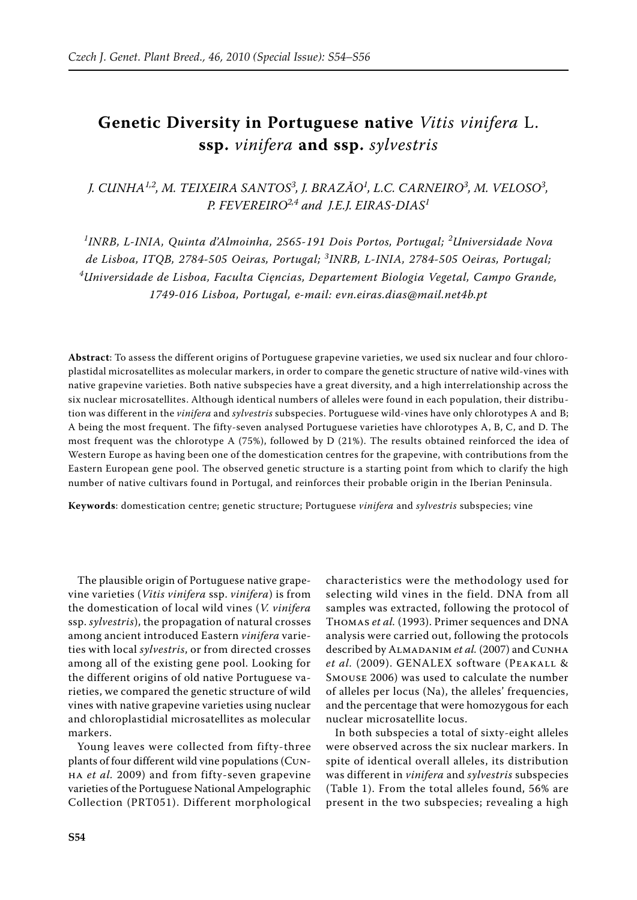## **Genetic Diversity in Portuguese native** *Vitis vinifera* L. **ssp.** *vinifera* **and ssp.** *sylvestris*

*J. CUNHA<sup>1,2</sup>, M. TEIXEIRA SANTOS<sup>3</sup>, J. BRAZĂO<sup>1</sup>, L.C. CARNEIRO<sup>3</sup>, M. VELOSO<sup>3</sup>, P. Fevereiro2,4 and J.E.J. Eiras-Dias<sup>1</sup>*

<sup>1</sup>INRB, L-INIA, Quinta d'Almoinha, 2565-191 Dois Portos, Portugal; <sup>2</sup>Universidade Nova *de Lisboa, ITQB, 2784-505 Oeiras, Portugal; <sup>3</sup> INRB, L-INIA, 2784-505 Oeiras, Portugal; 4 Universidade de Lisboa, Faculta Cięncias, Departement Biologia Vegetal, Campo Grande, 1749-016 Lisboa, Portugal, e-mail: evn.eiras.dias@mail.net4b.pt*

**Abstract**: To assess the different origins of Portuguese grapevine varieties, we used six nuclear and four chloroplastidal microsatellites as molecular markers, in order to compare the genetic structure of native wild-vines with native grapevine varieties. Both native subspecies have a great diversity, and a high interrelationship across the six nuclear microsatellites. Although identical numbers of alleles were found in each population, their distribution was different in the *vinifera* and *sylvestris* subspecies. Portuguese wild-vines have only chlorotypes A and B; A being the most frequent. The fifty-seven analysed Portuguese varieties have chlorotypes A, B, C, and D. The most frequent was the chlorotype A (75%), followed by D (21%). The results obtained reinforced the idea of Western Europe as having been one of the domestication centres for the grapevine, with contributions from the Eastern European gene pool. The observed genetic structure is a starting point from which to clarify the high number of native cultivars found in Portugal, and reinforces their probable origin in the Iberian Peninsula.

**Keywords**: domestication centre; genetic structure; Portuguese *vinifera* and *sylvestris* subspecies; vine

The plausible origin of Portuguese native grapevine varieties (*Vitis vinifera* ssp. *vinifera*) is from the domestication of local wild vines (*V. vinifera* ssp. *sylvestris*), the propagation of natural crosses among ancient introduced Eastern *vinifera* varieties with local *sylvestris*, or from directed crosses among all of the existing gene pool. Looking for the different origins of old native Portuguese varieties, we compared the genetic structure of wild vines with native grapevine varieties using nuclear and chloroplastidial microsatellites as molecular markers.

Young leaves were collected from fifty-three plants of four different wild vine populations (Cunha *et al.* 2009) and from fifty-seven grapevine varieties of the Portuguese National Ampelographic Collection (PRT051). Different morphological

characteristics were the methodology used for selecting wild vines in the field. DNA from all samples was extracted, following the protocol of Thomas *et al.* (1993). Primer sequences and DNA analysis were carried out, following the protocols described by ALMADANIM et al. (2007) and CUNHA *et al.* (2009). GENALEX software (Peakall & Smouse 2006) was used to calculate the number of alleles per locus (Na), the alleles' frequencies, and the percentage that were homozygous for each nuclear microsatellite locus.

In both subspecies a total of sixty-eight alleles were observed across the six nuclear markers. In spite of identical overall alleles, its distribution was different in *vinifera* and *sylvestris* subspecies (Table 1). From the total alleles found, 56% are present in the two subspecies; revealing a high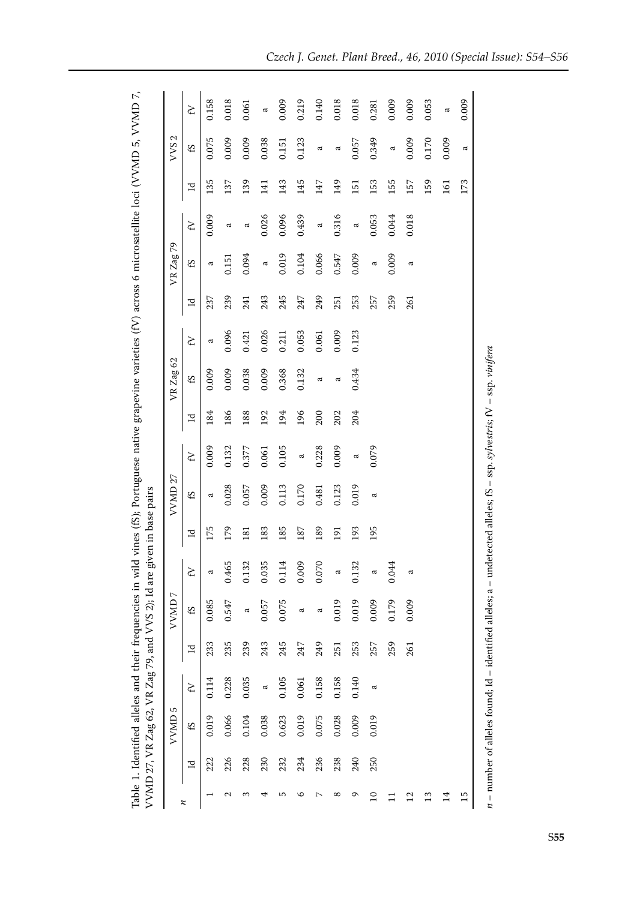| se native grapevine varieties (IV) across 6 microsatellite loci (VVMD 5. VVMD) |                                                             |  |
|--------------------------------------------------------------------------------|-------------------------------------------------------------|--|
|                                                                                |                                                             |  |
|                                                                                |                                                             |  |
|                                                                                |                                                             |  |
|                                                                                |                                                             |  |
| wild vines (fS); Portuguan                                                     |                                                             |  |
|                                                                                |                                                             |  |
|                                                                                |                                                             |  |
|                                                                                |                                                             |  |
|                                                                                |                                                             |  |
|                                                                                |                                                             |  |
|                                                                                |                                                             |  |
|                                                                                |                                                             |  |
| Table 1. Identified alleles and their frequencies in wil                       | / VMD 27, VR Zag 62, VR Zag 79, and VVS 2); Id are $\gamma$ |  |
|                                                                                |                                                             |  |
|                                                                                |                                                             |  |

|     | S<br>VVMD |                      |     | VVMD7 |                |     | VVMD <sub>27</sub> |                |     | VR Zag 62      |               |     | VR Zag 79      |               |     | VVS <sub>2</sub> |              |
|-----|-----------|----------------------|-----|-------|----------------|-----|--------------------|----------------|-----|----------------|---------------|-----|----------------|---------------|-----|------------------|--------------|
| Z   | £S        | $\boldsymbol{\zeta}$ | Σ   | 53    | $\mathcal{L}$  | Ľ   | SJ                 | $\mathcal{L}$  | Ξ   | SJ             | $\mathcal{L}$ | Ξ   | £S             | $\mathcal{L}$ | Ξ   | SJ               | $\mathbf{z}$ |
| 222 | 0.019     | 0.114                | 233 | 0.085 | ನ              | 175 | a                  | 0.009          | 184 | 0.009          | a             | 237 | a              | 0.009         | 135 | 0.075            | 0.158        |
| 226 | 0.066     | 0.228                | 235 | 0.547 | 0.465          | 179 | 0.028              | 0.132          | 186 | 0.009          | 0.096         | 239 | 0.151          | ದ             | 137 | 0.009            | 0.018        |
| 228 | 0.104     | 0.035                | 239 | ದ     | 0.132          | 181 | 0.057              | 0.377          | 188 | 0.038          | 0.421         | 241 | 0.094          | $\varpi$      | 139 | 0.009            | 0.061        |
| 230 | 0.038     | ದ                    | 243 | 0.057 | 0.035          | 183 | 0.009              | 0.061          | 192 | 0.009          | 0.026         | 243 | $\mathfrak{a}$ | 0.026         | 141 | 0.038            | $\approx$    |
| 232 | 0.623     | 0.105                | 245 | 0.075 | 0.114          | 185 | 0.113              | 0.105          | 194 | 0.368          | 0.211         | 245 | 0.019          | 0.096         | 143 | 0.151            | 0.009        |
| 234 | 0.019     | 0.061                | 247 | ದ     | 0.009          | 187 | 0.170              | $\mathfrak{a}$ | 196 | 0.132          | 0.053         | 247 | 0.104          | 0.439         | 145 | 0.123            | 0.219        |
| 236 | 0.075     | 0.158                | 249 | ದ     | 0.070          | 189 | 0.481              | 0.228          | 200 | $\mathfrak{a}$ | 0.061         | 249 | 0.066          | $\tilde{a}$   | 147 | $\mathfrak{a}$   | 0.140        |
| 238 | 0.028     | 0.158                | 251 | 0.019 | a              | 191 | 0.123              | 0.009          | 202 | a              | 0.009         | 251 | 0.547          | 0.316         | 149 | $\mathfrak{a}$   | 0.018        |
| 240 | 0.009     | 0.140                | 253 | 0.019 | $\sim$<br>0.13 | 193 | 0.019              | $\sigma$       | 204 | 0.434          | 0.123         | 253 | 0.009          | $\approx$     | 151 | 0.057            | 0.018        |
| 250 | 0.019     | ದ                    | 257 | 0.009 | ದ              | 195 | ದ                  | 0.079          |     |                |               | 257 | $\mathfrak{a}$ | 0.053         | 153 | 0.349            | 0.281        |
|     |           |                      | 259 | 0.179 | 0.044          |     |                    |                |     |                |               | 259 | 0.009          | 0.044         | 155 | $\sigma$         | 0.009        |
|     |           |                      | 261 | 0.009 | ದ              |     |                    |                |     |                |               | 261 | ದ              | 0.018         | 157 | 0.009            | 0.009        |
|     |           |                      |     |       |                |     |                    |                |     |                |               |     |                |               | 159 | 0.170            | 0.053        |
|     |           |                      |     |       |                |     |                    |                |     |                |               |     |                |               | 161 | 0.009            | $\approx$    |
|     |           |                      |     |       |                |     |                    |                |     |                |               |     |                |               | 173 | $\mathfrak{a}$   | 0.009        |